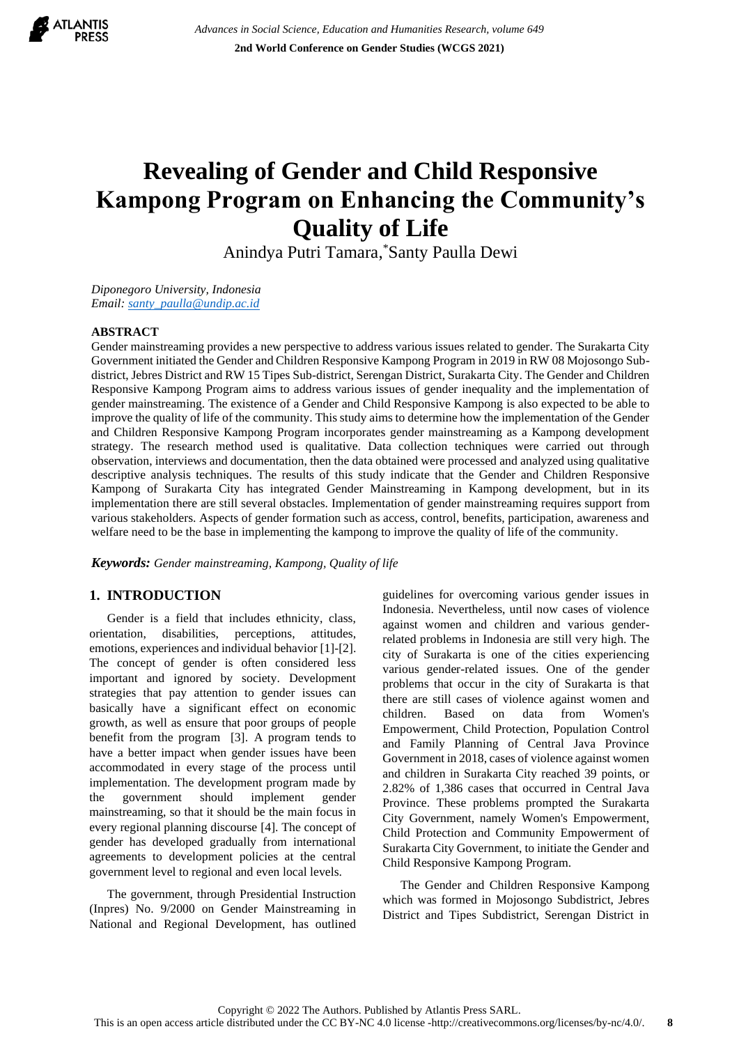

# **Revealing of Gender and Child Responsive Kampong Program on Enhancing the Community's Quality of Life**

Anindya Putri Tamara, \*Santy Paulla Dewi

*Diponegoro University, Indonesia Email: [santy\\_paulla@undip.ac.id](mailto:santy_paulla@undip.ac.id)* 

#### **ABSTRACT**

Gender mainstreaming provides a new perspective to address various issues related to gender. The Surakarta City Government initiated the Gender and Children Responsive Kampong Program in 2019 in RW 08 Mojosongo Subdistrict, Jebres District and RW 15 Tipes Sub-district, Serengan District, Surakarta City. The Gender and Children Responsive Kampong Program aims to address various issues of gender inequality and the implementation of gender mainstreaming. The existence of a Gender and Child Responsive Kampong is also expected to be able to improve the quality of life of the community. This study aims to determine how the implementation of the Gender and Children Responsive Kampong Program incorporates gender mainstreaming as a Kampong development strategy. The research method used is qualitative. Data collection techniques were carried out through observation, interviews and documentation, then the data obtained were processed and analyzed using qualitative descriptive analysis techniques. The results of this study indicate that the Gender and Children Responsive Kampong of Surakarta City has integrated Gender Mainstreaming in Kampong development, but in its implementation there are still several obstacles. Implementation of gender mainstreaming requires support from various stakeholders. Aspects of gender formation such as access, control, benefits, participation, awareness and welfare need to be the base in implementing the kampong to improve the quality of life of the community.

*Keywords: Gender mainstreaming, Kampong, Quality of life*

# **1. INTRODUCTION**

Gender is a field that includes ethnicity, class, orientation, disabilities, perceptions, attitudes, emotions, experiences and individual behavior [1]-[2]. The concept of gender is often considered less important and ignored by society. Development strategies that pay attention to gender issues can basically have a significant effect on economic growth, as well as ensure that poor groups of people benefit from the program [3]. A program tends to have a better impact when gender issues have been accommodated in every stage of the process until implementation. The development program made by the government should implement gender mainstreaming, so that it should be the main focus in every regional planning discourse [4]. The concept of gender has developed gradually from international agreements to development policies at the central government level to regional and even local levels.

The government, through Presidential Instruction (Inpres) No. 9/2000 on Gender Mainstreaming in National and Regional Development, has outlined guidelines for overcoming various gender issues in Indonesia. Nevertheless, until now cases of violence against women and children and various genderrelated problems in Indonesia are still very high. The city of Surakarta is one of the cities experiencing various gender-related issues. One of the gender problems that occur in the city of Surakarta is that there are still cases of violence against women and children. Based on data from Women's Empowerment, Child Protection, Population Control and Family Planning of Central Java Province Government in 2018, cases of violence against women and children in Surakarta City reached 39 points, or 2.82% of 1,386 cases that occurred in Central Java Province. These problems prompted the Surakarta City Government, namely Women's Empowerment, Child Protection and Community Empowerment of Surakarta City Government, to initiate the Gender and Child Responsive Kampong Program.

The Gender and Children Responsive Kampong which was formed in Mojosongo Subdistrict, Jebres District and Tipes Subdistrict, Serengan District in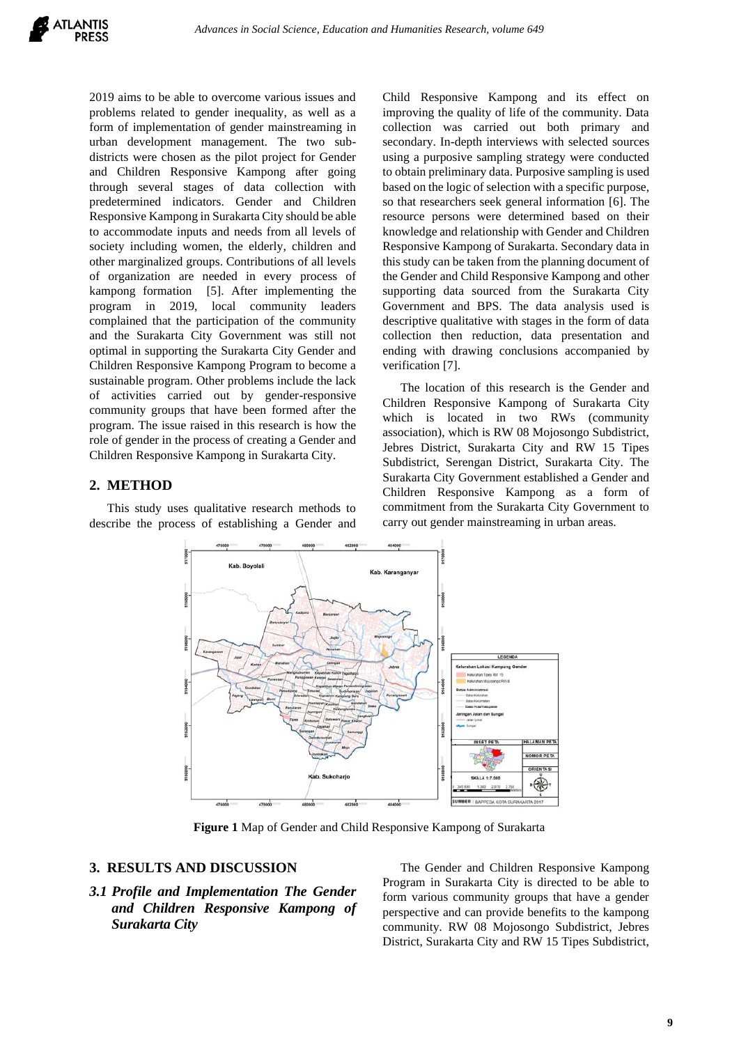2019 aims to be able to overcome various issues and problems related to gender inequality, as well as a form of implementation of gender mainstreaming in urban development management. The two subdistricts were chosen as the pilot project for Gender and Children Responsive Kampong after going through several stages of data collection with predetermined indicators. Gender and Children Responsive Kampong in Surakarta City should be able to accommodate inputs and needs from all levels of society including women, the elderly, children and other marginalized groups. Contributions of all levels of organization are needed in every process of kampong formation [5]. After implementing the program in 2019, local community leaders complained that the participation of the community and the Surakarta City Government was still not optimal in supporting the Surakarta City Gender and Children Responsive Kampong Program to become a sustainable program. Other problems include the lack of activities carried out by gender-responsive community groups that have been formed after the program. The issue raised in this research is how the role of gender in the process of creating a Gender and Children Responsive Kampong in Surakarta City.

### **2. METHOD**

This study uses qualitative research methods to describe the process of establishing a Gender and

Child Responsive Kampong and its effect on improving the quality of life of the community. Data collection was carried out both primary and secondary. In-depth interviews with selected sources using a purposive sampling strategy were conducted to obtain preliminary data. Purposive sampling is used based on the logic of selection with a specific purpose, so that researchers seek general information [6]. The resource persons were determined based on their knowledge and relationship with Gender and Children Responsive Kampong of Surakarta. Secondary data in this study can be taken from the planning document of the Gender and Child Responsive Kampong and other supporting data sourced from the Surakarta City Government and BPS. The data analysis used is descriptive qualitative with stages in the form of data collection then reduction, data presentation and ending with drawing conclusions accompanied by verification [7].

The location of this research is the Gender and Children Responsive Kampong of Surakarta City which is located in two RWs (community association), which is RW 08 Mojosongo Subdistrict, Jebres District, Surakarta City and RW 15 Tipes Subdistrict, Serengan District, Surakarta City. The Surakarta City Government established a Gender and Children Responsive Kampong as a form of commitment from the Surakarta City Government to carry out gender mainstreaming in urban areas.



**Figure 1** Map of Gender and Child Responsive Kampong of Surakarta

#### **3. RESULTS AND DISCUSSION**

# *3.1 Profile and Implementation The Gender and Children Responsive Kampong of Surakarta City*

The Gender and Children Responsive Kampong Program in Surakarta City is directed to be able to form various community groups that have a gender perspective and can provide benefits to the kampong community. RW 08 Mojosongo Subdistrict, Jebres District, Surakarta City and RW 15 Tipes Subdistrict,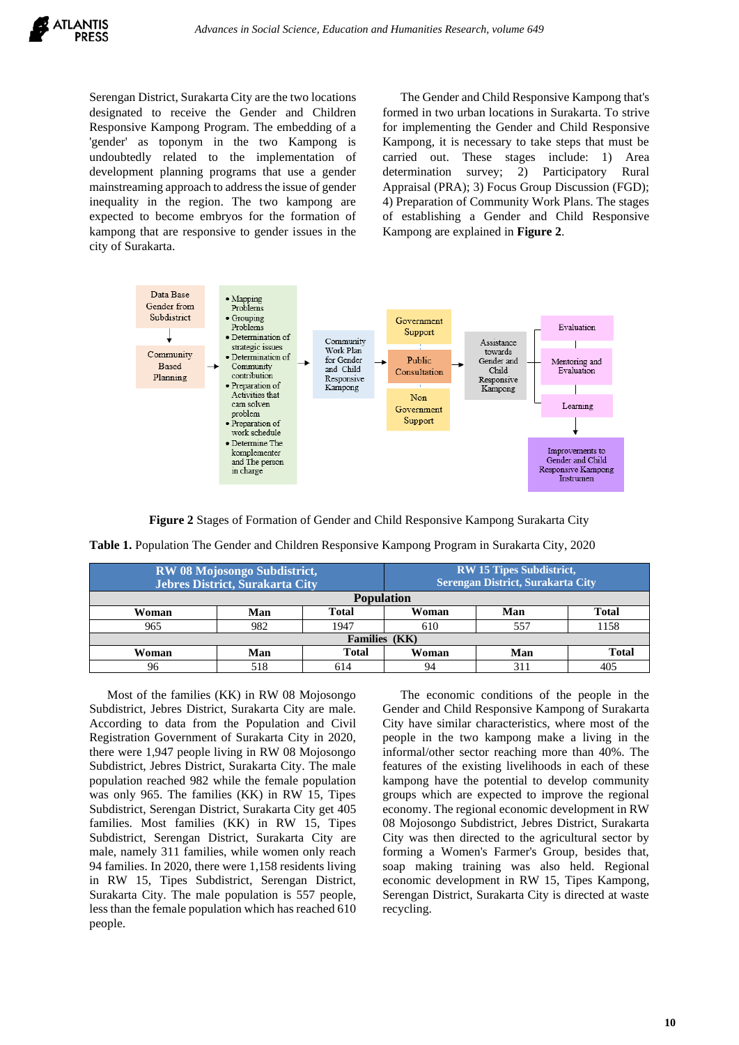

Serengan District, Surakarta City are the two locations designated to receive the Gender and Children Responsive Kampong Program. The embedding of a 'gender' as toponym in the two Kampong is undoubtedly related to the implementation of development planning programs that use a gender mainstreaming approach to address the issue of gender inequality in the region. The two kampong are expected to become embryos for the formation of kampong that are responsive to gender issues in the city of Surakarta.

The Gender and Child Responsive Kampong that's formed in two urban locations in Surakarta. To strive for implementing the Gender and Child Responsive Kampong, it is necessary to take steps that must be carried out. These stages include: 1) Area determination survey; 2) Participatory Rural Appraisal (PRA); 3) Focus Group Discussion (FGD); 4) Preparation of Community Work Plans. The stages of establishing a Gender and Child Responsive Kampong are explained in **Figure 2**.



**Figure 2** Stages of Formation of Gender and Child Responsive Kampong Surakarta City

| Table 1. Population The Gender and Children Responsive Kampong Program in Surakarta City, 2020 |  |  |  |
|------------------------------------------------------------------------------------------------|--|--|--|
|------------------------------------------------------------------------------------------------|--|--|--|

| <b>RW 08 Mojosongo Subdistrict,</b><br>Jebres District, Surakarta City |     |              | <b>RW 15 Tipes Subdistrict,</b><br>Serengan District, Surakarta City |     |              |
|------------------------------------------------------------------------|-----|--------------|----------------------------------------------------------------------|-----|--------------|
| <b>Population</b>                                                      |     |              |                                                                      |     |              |
| Woman                                                                  | Man | <b>Total</b> | Woman                                                                | Man | Total        |
| 965                                                                    | 982 | 1947         | 610                                                                  | 557 | 1158         |
| Families (KK)                                                          |     |              |                                                                      |     |              |
| Woman                                                                  | Man | <b>Total</b> | Woman                                                                | Man | <b>Total</b> |
| 96                                                                     | 518 | 614          |                                                                      |     |              |

Most of the families (KK) in RW 08 Mojosongo Subdistrict, Jebres District, Surakarta City are male. According to data from the Population and Civil Registration Government of Surakarta City in 2020, there were 1,947 people living in RW 08 Mojosongo Subdistrict, Jebres District, Surakarta City. The male population reached 982 while the female population was only 965. The families (KK) in RW 15, Tipes Subdistrict, Serengan District, Surakarta City get 405 families. Most families (KK) in RW 15, Tipes Subdistrict, Serengan District, Surakarta City are male, namely 311 families, while women only reach 94 families. In 2020, there were 1,158 residents living in RW 15, Tipes Subdistrict, Serengan District, Surakarta City. The male population is 557 people, less than the female population which has reached 610 people.

The economic conditions of the people in the Gender and Child Responsive Kampong of Surakarta City have similar characteristics, where most of the people in the two kampong make a living in the informal/other sector reaching more than 40%. The features of the existing livelihoods in each of these kampong have the potential to develop community groups which are expected to improve the regional economy. The regional economic development in RW 08 Mojosongo Subdistrict, Jebres District, Surakarta City was then directed to the agricultural sector by forming a Women's Farmer's Group, besides that, soap making training was also held. Regional economic development in RW 15, Tipes Kampong, Serengan District, Surakarta City is directed at waste recycling.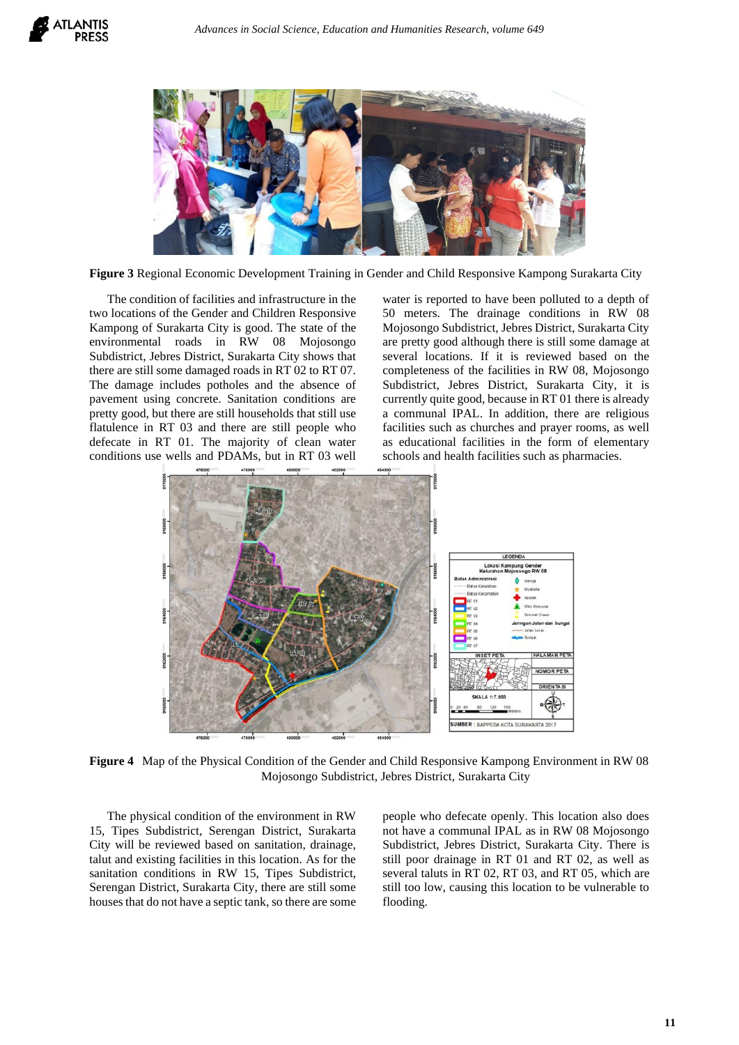

**Figure 3** Regional Economic Development Training in Gender and Child Responsive Kampong Surakarta City

The condition of facilities and infrastructure in the two locations of the Gender and Children Responsive Kampong of Surakarta City is good. The state of the environmental roads in RW 08 Mojosongo Subdistrict, Jebres District, Surakarta City shows that there are still some damaged roads in RT 02 to RT 07. The damage includes potholes and the absence of pavement using concrete. Sanitation conditions are pretty good, but there are still households that still use flatulence in RT 03 and there are still people who defecate in RT 01. The majority of clean water conditions use wells and PDAMs, but in RT 03 well

water is reported to have been polluted to a depth of 50 meters. The drainage conditions in RW 08 Mojosongo Subdistrict, Jebres District, Surakarta City are pretty good although there is still some damage at several locations. If it is reviewed based on the completeness of the facilities in RW 08, Mojosongo Subdistrict, Jebres District, Surakarta City, it is currently quite good, because in RT 01 there is already a communal IPAL. In addition, there are religious facilities such as churches and prayer rooms, as well as educational facilities in the form of elementary schools and health facilities such as pharmacies.



**Figure 4** Map of the Physical Condition of the Gender and Child Responsive Kampong Environment in RW 08 Mojosongo Subdistrict, Jebres District, Surakarta City

The physical condition of the environment in RW 15, Tipes Subdistrict, Serengan District, Surakarta City will be reviewed based on sanitation, drainage, talut and existing facilities in this location. As for the sanitation conditions in RW 15, Tipes Subdistrict, Serengan District, Surakarta City, there are still some houses that do not have a septic tank, so there are some people who defecate openly. This location also does not have a communal IPAL as in RW 08 Mojosongo Subdistrict, Jebres District, Surakarta City. There is still poor drainage in RT 01 and RT 02, as well as several taluts in RT 02, RT 03, and RT 05, which are still too low, causing this location to be vulnerable to flooding.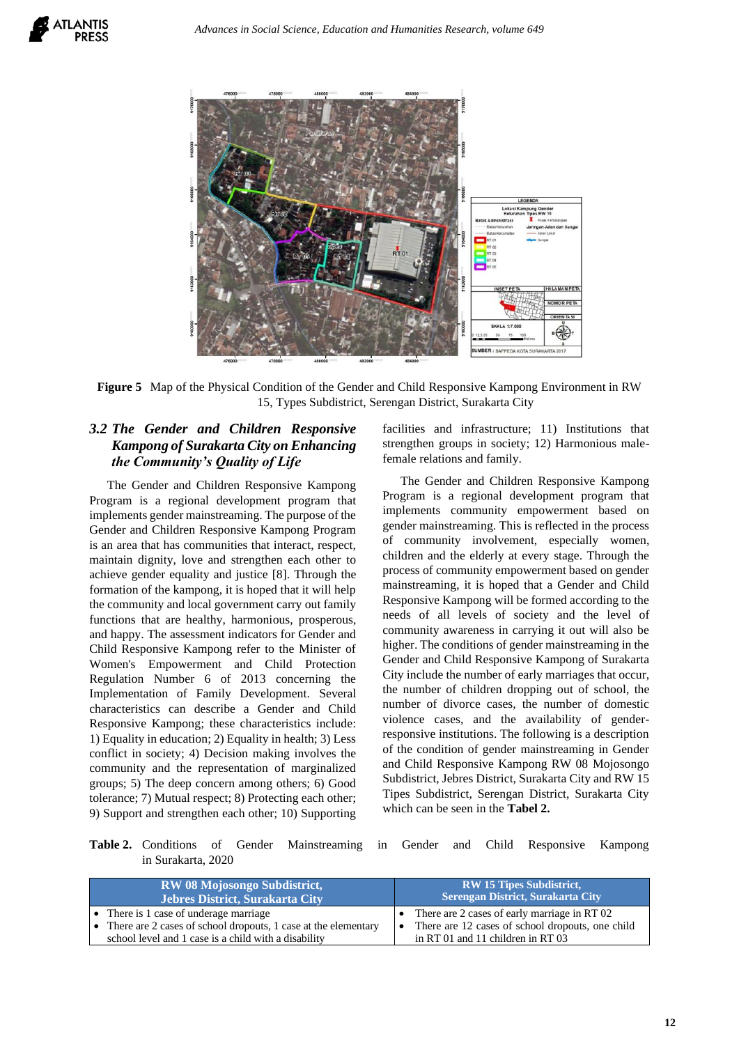

**Figure 5** Map of the Physical Condition of the Gender and Child Responsive Kampong Environment in RW 15, Types Subdistrict, Serengan District, Surakarta City

# *3.2 The Gender and Children Responsive Kampong of Surakarta City on Enhancing the Community's Quality of Life*

The Gender and Children Responsive Kampong Program is a regional development program that implements gender mainstreaming. The purpose of the Gender and Children Responsive Kampong Program is an area that has communities that interact, respect, maintain dignity, love and strengthen each other to achieve gender equality and justice [8]. Through the formation of the kampong, it is hoped that it will help the community and local government carry out family functions that are healthy, harmonious, prosperous, and happy. The assessment indicators for Gender and Child Responsive Kampong refer to the Minister of Women's Empowerment and Child Protection Regulation Number 6 of 2013 concerning the Implementation of Family Development. Several characteristics can describe a Gender and Child Responsive Kampong; these characteristics include: 1) Equality in education; 2) Equality in health; 3) Less conflict in society; 4) Decision making involves the community and the representation of marginalized groups; 5) The deep concern among others; 6) Good tolerance; 7) Mutual respect; 8) Protecting each other; 9) Support and strengthen each other; 10) Supporting facilities and infrastructure; 11) Institutions that strengthen groups in society; 12) Harmonious malefemale relations and family.

The Gender and Children Responsive Kampong Program is a regional development program that implements community empowerment based on gender mainstreaming. This is reflected in the process of community involvement, especially women, children and the elderly at every stage. Through the process of community empowerment based on gender mainstreaming, it is hoped that a Gender and Child Responsive Kampong will be formed according to the needs of all levels of society and the level of community awareness in carrying it out will also be higher. The conditions of gender mainstreaming in the Gender and Child Responsive Kampong of Surakarta City include the number of early marriages that occur, the number of children dropping out of school, the number of divorce cases, the number of domestic violence cases, and the availability of genderresponsive institutions. The following is a description of the condition of gender mainstreaming in Gender and Child Responsive Kampong RW 08 Mojosongo Subdistrict, Jebres District, Surakarta City and RW 15 Tipes Subdistrict, Serengan District, Surakarta City which can be seen in the **Tabel 2.** 

**Table 2.** Conditions of Gender Mainstreaming in Gender and Child Responsive Kampong in Surakarta, 2020

| <b>RW 08 Mojosongo Subdistrict,</b>                            | <b>RW 15 Tipes Subdistrict,</b>                    |
|----------------------------------------------------------------|----------------------------------------------------|
| <b>Jebres District, Surakarta City</b>                         | Serengan District, Surakarta City                  |
| • There is 1 case of underage marriage                         | • There are 2 cases of early marriage in RT $02$   |
| There are 2 cases of school dropouts, 1 case at the elementary | • There are 12 cases of school dropouts, one child |
| school level and 1 case is a child with a disability           | in RT 01 and 11 children in RT 03                  |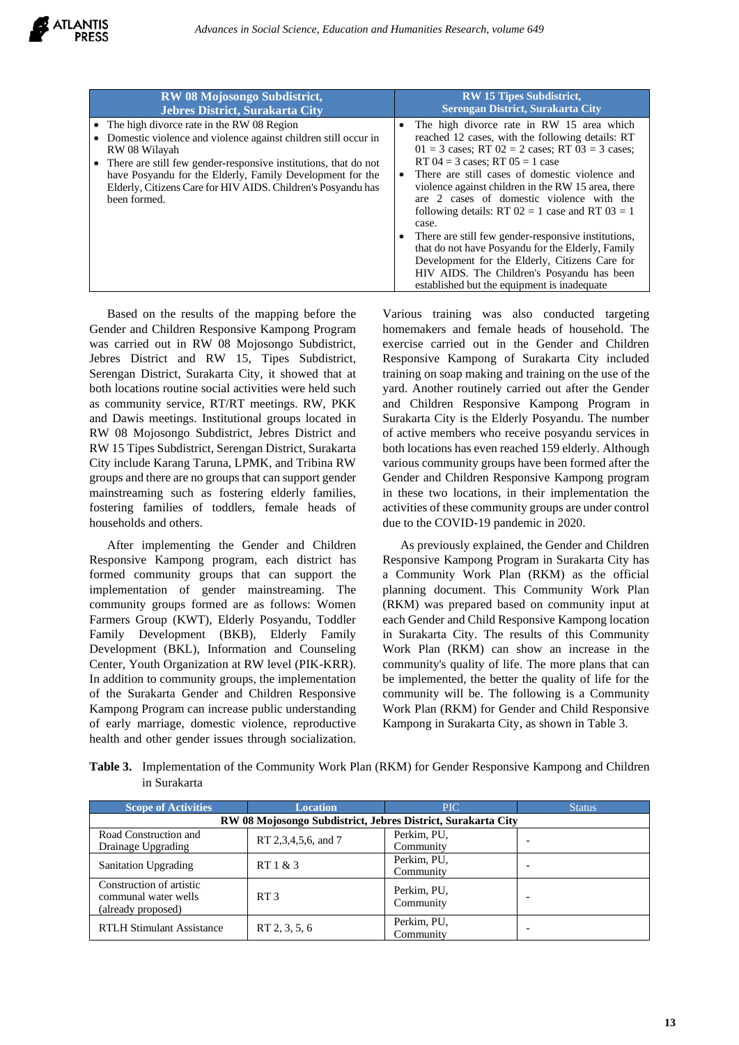| <b>RW 08 Mojosongo Subdistrict,</b>                                                                                                                                                                                                                                                                                                          | <b>RW 15 Tipes Subdistrict,</b>                                                                                                                                                                                                                                                                                                                                                                                                                                                                                                                                                                                                                                               |
|----------------------------------------------------------------------------------------------------------------------------------------------------------------------------------------------------------------------------------------------------------------------------------------------------------------------------------------------|-------------------------------------------------------------------------------------------------------------------------------------------------------------------------------------------------------------------------------------------------------------------------------------------------------------------------------------------------------------------------------------------------------------------------------------------------------------------------------------------------------------------------------------------------------------------------------------------------------------------------------------------------------------------------------|
| <b>Jebres District, Surakarta City</b>                                                                                                                                                                                                                                                                                                       | Serengan District, Surakarta City                                                                                                                                                                                                                                                                                                                                                                                                                                                                                                                                                                                                                                             |
| The high divorce rate in the RW 08 Region<br>Domestic violence and violence against children still occur in<br>RW 08 Wilayah<br>There are still few gender-responsive institutions, that do not<br>have Posyandu for the Elderly, Family Development for the<br>Elderly, Citizens Care for HIV AIDS. Children's Posyandu has<br>been formed. | The high divorce rate in RW 15 area which<br>reached 12 cases, with the following details: RT<br>$01 = 3$ cases; RT $02 = 2$ cases; RT $03 = 3$ cases;<br>RT $04 = 3$ cases; RT $05 = 1$ case<br>There are still cases of domestic violence and<br>violence against children in the RW 15 area, there<br>are 2 cases of domestic violence with the<br>following details: RT $02 = 1$ case and RT $03 = 1$<br>case.<br>There are still few gender-responsive institutions,<br>that do not have Posyandu for the Elderly, Family<br>Development for the Elderly, Citizens Care for<br>HIV AIDS. The Children's Posyandu has been<br>established but the equipment is inadequate |

Based on the results of the mapping before the Gender and Children Responsive Kampong Program was carried out in RW 08 Mojosongo Subdistrict, Jebres District and RW 15, Tipes Subdistrict, Serengan District, Surakarta City, it showed that at both locations routine social activities were held such as community service, RT/RT meetings. RW, PKK and Dawis meetings. Institutional groups located in RW 08 Mojosongo Subdistrict, Jebres District and RW 15 Tipes Subdistrict, Serengan District, Surakarta City include Karang Taruna, LPMK, and Tribina RW groups and there are no groups that can support gender mainstreaming such as fostering elderly families, fostering families of toddlers, female heads of households and others.

After implementing the Gender and Children Responsive Kampong program, each district has formed community groups that can support the implementation of gender mainstreaming. The community groups formed are as follows: Women Farmers Group (KWT), Elderly Posyandu, Toddler Family Development (BKB), Elderly Family Development (BKL), Information and Counseling Center, Youth Organization at RW level (PIK-KRR). In addition to community groups, the implementation of the Surakarta Gender and Children Responsive Kampong Program can increase public understanding of early marriage, domestic violence, reproductive health and other gender issues through socialization.

Various training was also conducted targeting homemakers and female heads of household. The exercise carried out in the Gender and Children Responsive Kampong of Surakarta City included training on soap making and training on the use of the yard. Another routinely carried out after the Gender and Children Responsive Kampong Program in Surakarta City is the Elderly Posyandu. The number of active members who receive posyandu services in both locations has even reached 159 elderly. Although various community groups have been formed after the Gender and Children Responsive Kampong program in these two locations, in their implementation the activities of these community groups are under control due to the COVID-19 pandemic in 2020.

As previously explained, the Gender and Children Responsive Kampong Program in Surakarta City has a Community Work Plan (RKM) as the official planning document. This Community Work Plan (RKM) was prepared based on community input at each Gender and Child Responsive Kampong location in Surakarta City. The results of this Community Work Plan (RKM) can show an increase in the community's quality of life. The more plans that can be implemented, the better the quality of life for the community will be. The following is a Community Work Plan (RKM) for Gender and Child Responsive Kampong in Surakarta City, as shown in Table 3.

**Table 3.** Implementation of the Community Work Plan (RKM) for Gender Responsive Kampong and Children in Surakarta

| <b>Scope of Activities</b>                                             | <b>Location</b>                                              | PIC.                     | <b>Status</b>            |  |  |
|------------------------------------------------------------------------|--------------------------------------------------------------|--------------------------|--------------------------|--|--|
|                                                                        | RW 08 Mojosongo Subdistrict, Jebres District, Surakarta City |                          |                          |  |  |
| Road Construction and<br>Drainage Upgrading                            | RT 2,3,4,5,6, and 7                                          | Perkim, PU,<br>Community | $\overline{\phantom{0}}$ |  |  |
| <b>Sanitation Upgrading</b>                                            | RT1 & 3                                                      | Perkim, PU,<br>Community |                          |  |  |
| Construction of artistic<br>communal water wells<br>(already proposed) | RT3                                                          | Perkim, PU,<br>Community |                          |  |  |
| <b>RTLH Stimulant Assistance</b>                                       | RT 2, 3, 5, 6                                                | Perkim, PU,<br>Community |                          |  |  |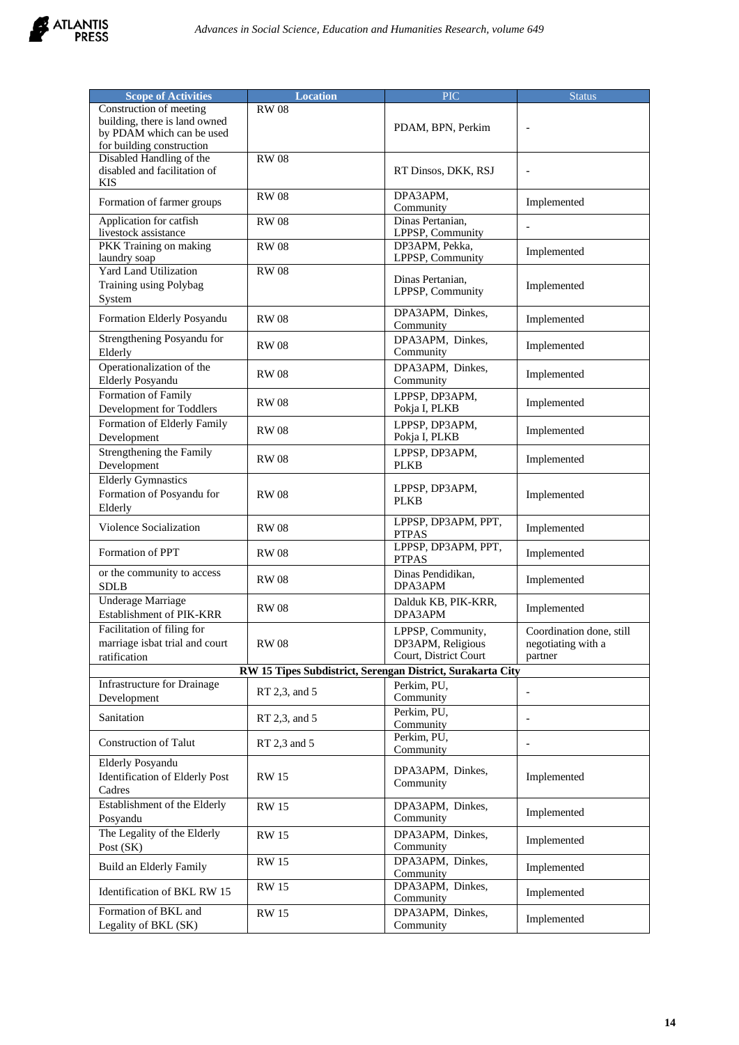

| <b>Scope of Activities</b>                                                                                         | <b>Location</b>                                            | <b>PIC</b>                                                      | <b>Status</b>                                             |
|--------------------------------------------------------------------------------------------------------------------|------------------------------------------------------------|-----------------------------------------------------------------|-----------------------------------------------------------|
| Construction of meeting<br>building, there is land owned<br>by PDAM which can be used<br>for building construction | <b>RW08</b>                                                | PDAM, BPN, Perkim                                               |                                                           |
| Disabled Handling of the<br>disabled and facilitation of<br><b>KIS</b>                                             | <b>RW08</b>                                                | RT Dinsos, DKK, RSJ                                             | $\overline{\phantom{a}}$                                  |
| Formation of farmer groups                                                                                         | <b>RW08</b>                                                | DPA3APM,<br>Community                                           | Implemented                                               |
| Application for catfish<br>livestock assistance                                                                    | <b>RW</b> 08                                               | Dinas Pertanian,<br>LPPSP, Community                            |                                                           |
| PKK Training on making<br>laundry soap                                                                             | <b>RW08</b>                                                | DP3APM, Pekka,<br>LPPSP, Community                              | Implemented                                               |
| <b>Yard Land Utilization</b><br>Training using Polybag<br>System                                                   | <b>RW08</b>                                                | Dinas Pertanian,<br>LPPSP, Community                            | Implemented                                               |
| Formation Elderly Posyandu                                                                                         | <b>RW08</b>                                                | DPA3APM, Dinkes,<br>Community                                   | Implemented                                               |
| Strengthening Posyandu for<br>Elderly                                                                              | <b>RW</b> 08                                               | DPA3APM, Dinkes,<br>Community                                   | Implemented                                               |
| Operationalization of the<br><b>Elderly Posyandu</b>                                                               | <b>RW</b> 08                                               | DPA3APM, Dinkes,<br>Community                                   | Implemented                                               |
| Formation of Family<br>Development for Toddlers                                                                    | <b>RW08</b>                                                | LPPSP, DP3APM,<br>Pokja I, PLKB                                 | Implemented                                               |
| Formation of Elderly Family<br>Development                                                                         | <b>RW08</b>                                                | LPPSP, DP3APM,<br>Pokja I, PLKB                                 | Implemented                                               |
| Strengthening the Family<br>Development                                                                            | <b>RW08</b>                                                | LPPSP, DP3APM,<br><b>PLKB</b>                                   | Implemented                                               |
| <b>Elderly Gymnastics</b><br>Formation of Posyandu for<br>Elderly                                                  | <b>RW08</b>                                                | LPPSP, DP3APM,<br><b>PLKB</b>                                   | Implemented                                               |
| Violence Socialization                                                                                             | <b>RW08</b>                                                | LPPSP, DP3APM, PPT,<br><b>PTPAS</b>                             | Implemented                                               |
| Formation of PPT                                                                                                   | <b>RW08</b>                                                | LPPSP, DP3APM, PPT,<br><b>PTPAS</b>                             | Implemented                                               |
| or the community to access<br><b>SDLB</b>                                                                          | <b>RW08</b>                                                | Dinas Pendidikan,<br>DPA3APM                                    | Implemented                                               |
| <b>Underage Marriage</b><br>Establishment of PIK-KRR                                                               | <b>RW08</b>                                                | Dalduk KB, PIK-KRR,<br>DPA3APM                                  | Implemented                                               |
| Facilitation of filing for<br>marriage isbat trial and court<br>ratification                                       | <b>RW08</b>                                                | LPPSP, Community,<br>DP3APM, Religious<br>Court, District Court | Coordination done, still<br>negotiating with a<br>partner |
|                                                                                                                    | RW 15 Tipes Subdistrict, Serengan District, Surakarta City |                                                                 |                                                           |
| Infrastructure for Drainage<br>Development                                                                         | RT 2,3, and 5                                              | Perkim, PU,<br>Community                                        | $\blacksquare$                                            |
| Sanitation                                                                                                         | RT 2,3, and 5                                              | Perkim, PU,<br>Community                                        | $\overline{\phantom{a}}$                                  |
| <b>Construction of Talut</b>                                                                                       | RT 2,3 and 5                                               | Perkim, PU,<br>Community                                        | $\overline{\phantom{a}}$                                  |
| <b>Elderly Posyandu</b><br><b>Identification of Elderly Post</b><br>Cadres                                         | <b>RW15</b>                                                | DPA3APM, Dinkes,<br>Community                                   | Implemented                                               |
| Establishment of the Elderly<br>Posyandu                                                                           | <b>RW 15</b>                                               | DPA3APM, Dinkes,<br>Community                                   | Implemented                                               |
| The Legality of the Elderly<br>Post (SK)                                                                           | <b>RW 15</b>                                               | DPA3APM, Dinkes,<br>Community                                   | Implemented                                               |
| Build an Elderly Family                                                                                            | <b>RW15</b>                                                | DPA3APM, Dinkes,<br>Community                                   | Implemented                                               |
| Identification of BKL RW 15                                                                                        | <b>RW 15</b>                                               | DPA3APM, Dinkes,<br>Community                                   | Implemented                                               |
| Formation of BKL and<br>Legality of BKL (SK)                                                                       | <b>RW</b> 15                                               | DPA3APM, Dinkes,<br>Community                                   | Implemented                                               |